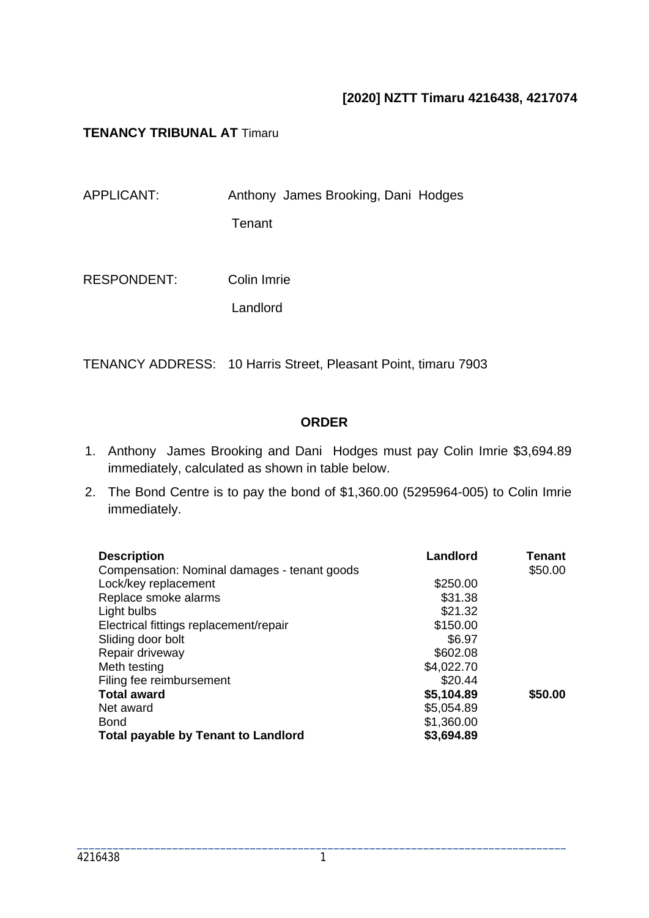## **[2020] NZTT Timaru 4216438, 4217074**

### **TENANCY TRIBUNAL AT** Timaru

| APPLICANT:         | Anthony James Brooking, Dani Hodges |
|--------------------|-------------------------------------|
|                    | Tenant                              |
|                    |                                     |
| <b>RESPONDENT:</b> | Colin Imrie                         |

Landlord

TENANCY ADDRESS: 10 Harris Street, Pleasant Point, timaru 7903

### **ORDER**

- 1. Anthony James Brooking and Dani Hodges must pay Colin Imrie \$3,694.89 immediately, calculated as shown in table below.
- 2. The Bond Centre is to pay the bond of \$1,360.00 (5295964-005) to Colin Imrie immediately.

| <b>Description</b>                           | Landlord   | Tenant  |
|----------------------------------------------|------------|---------|
| Compensation: Nominal damages - tenant goods |            | \$50.00 |
| Lock/key replacement                         | \$250.00   |         |
| Replace smoke alarms                         | \$31.38    |         |
| Light bulbs                                  | \$21.32    |         |
| Electrical fittings replacement/repair       | \$150.00   |         |
| Sliding door bolt                            | \$6.97     |         |
| Repair driveway                              | \$602.08   |         |
| Meth testing                                 | \$4,022.70 |         |
| Filing fee reimbursement                     | \$20.44    |         |
| <b>Total award</b>                           | \$5,104.89 | \$50.00 |
| Net award                                    | \$5,054.89 |         |
| <b>Bond</b>                                  | \$1,360.00 |         |
| <b>Total payable by Tenant to Landlord</b>   | \$3,694.89 |         |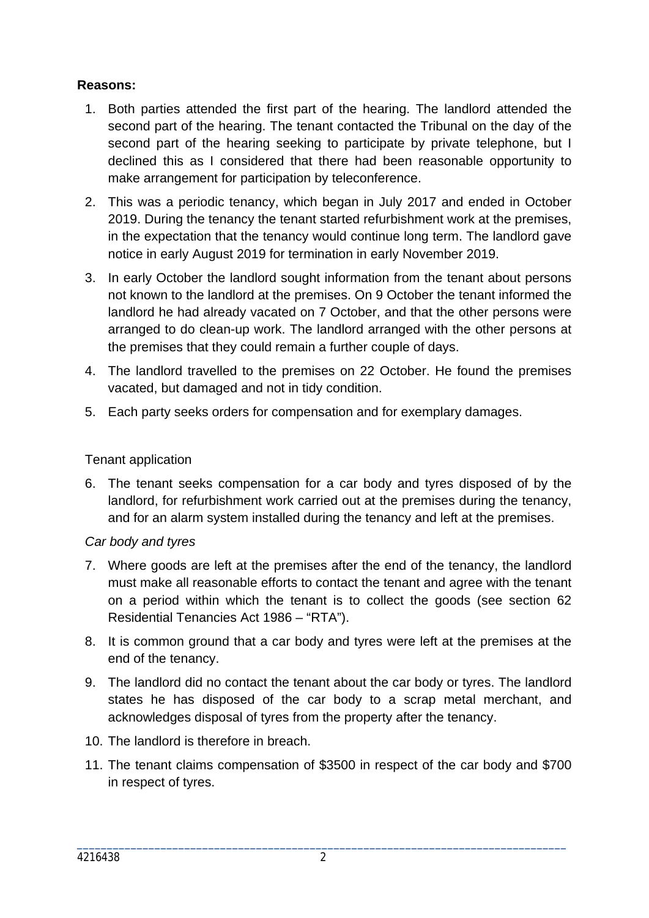## **Reasons:**

- 1. Both parties attended the first part of the hearing. The landlord attended the second part of the hearing. The tenant contacted the Tribunal on the day of the second part of the hearing seeking to participate by private telephone, but I declined this as I considered that there had been reasonable opportunity to make arrangement for participation by teleconference.
- 2. This was a periodic tenancy, which began in July 2017 and ended in October 2019. During the tenancy the tenant started refurbishment work at the premises, in the expectation that the tenancy would continue long term. The landlord gave notice in early August 2019 for termination in early November 2019.
- 3. In early October the landlord sought information from the tenant about persons not known to the landlord at the premises. On 9 October the tenant informed the landlord he had already vacated on 7 October, and that the other persons were arranged to do clean-up work. The landlord arranged with the other persons at the premises that they could remain a further couple of days.
- 4. The landlord travelled to the premises on 22 October. He found the premises vacated, but damaged and not in tidy condition.
- 5. Each party seeks orders for compensation and for exemplary damages.

### Tenant application

6. The tenant seeks compensation for a car body and tyres disposed of by the landlord, for refurbishment work carried out at the premises during the tenancy, and for an alarm system installed during the tenancy and left at the premises.

### *Car body and tyres*

- 7. Where goods are left at the premises after the end of the tenancy, the landlord must make all reasonable efforts to contact the tenant and agree with the tenant on a period within which the tenant is to collect the goods (see section 62 Residential Tenancies Act 1986 – "RTA").
- 8. It is common ground that a car body and tyres were left at the premises at the end of the tenancy.
- 9. The landlord did no contact the tenant about the car body or tyres. The landlord states he has disposed of the car body to a scrap metal merchant, and acknowledges disposal of tyres from the property after the tenancy.
- 10. The landlord is therefore in breach.
- 11. The tenant claims compensation of \$3500 in respect of the car body and \$700 in respect of tyres.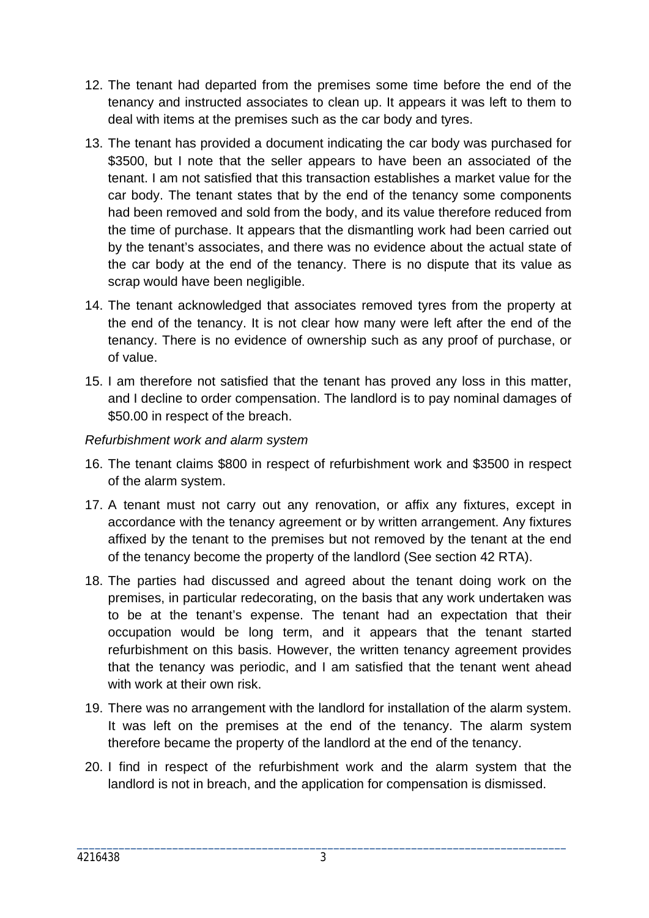- 12. The tenant had departed from the premises some time before the end of the tenancy and instructed associates to clean up. It appears it was left to them to deal with items at the premises such as the car body and tyres.
- 13. The tenant has provided a document indicating the car body was purchased for \$3500, but I note that the seller appears to have been an associated of the tenant. I am not satisfied that this transaction establishes a market value for the car body. The tenant states that by the end of the tenancy some components had been removed and sold from the body, and its value therefore reduced from the time of purchase. It appears that the dismantling work had been carried out by the tenant's associates, and there was no evidence about the actual state of the car body at the end of the tenancy. There is no dispute that its value as scrap would have been negligible.
- 14. The tenant acknowledged that associates removed tyres from the property at the end of the tenancy. It is not clear how many were left after the end of the tenancy. There is no evidence of ownership such as any proof of purchase, or of value.
- 15. I am therefore not satisfied that the tenant has proved any loss in this matter, and I decline to order compensation. The landlord is to pay nominal damages of \$50.00 in respect of the breach.

## *Refurbishment work and alarm system*

- 16. The tenant claims \$800 in respect of refurbishment work and \$3500 in respect of the alarm system.
- 17. A tenant must not carry out any renovation, or affix any fixtures, except in accordance with the tenancy agreement or by written arrangement. Any fixtures affixed by the tenant to the premises but not removed by the tenant at the end of the tenancy become the property of the landlord (See section 42 RTA).
- 18. The parties had discussed and agreed about the tenant doing work on the premises, in particular redecorating, on the basis that any work undertaken was to be at the tenant's expense. The tenant had an expectation that their occupation would be long term, and it appears that the tenant started refurbishment on this basis. However, the written tenancy agreement provides that the tenancy was periodic, and I am satisfied that the tenant went ahead with work at their own risk.
- 19. There was no arrangement with the landlord for installation of the alarm system. It was left on the premises at the end of the tenancy. The alarm system therefore became the property of the landlord at the end of the tenancy.
- 20. I find in respect of the refurbishment work and the alarm system that the landlord is not in breach, and the application for compensation is dismissed.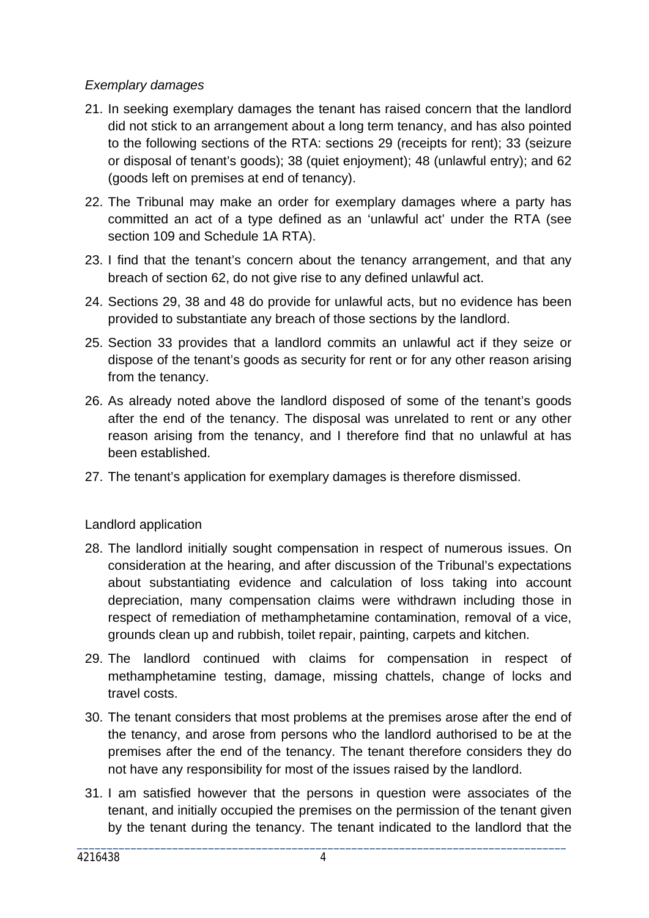## *Exemplary damages*

- 21. In seeking exemplary damages the tenant has raised concern that the landlord did not stick to an arrangement about a long term tenancy, and has also pointed to the following sections of the RTA: sections 29 (receipts for rent); 33 (seizure or disposal of tenant's goods); 38 (quiet enjoyment); 48 (unlawful entry); and 62 (goods left on premises at end of tenancy).
- 22. The Tribunal may make an order for exemplary damages where a party has committed an act of a type defined as an 'unlawful act' under the RTA (see section 109 and Schedule 1A RTA).
- 23. I find that the tenant's concern about the tenancy arrangement, and that any breach of section 62, do not give rise to any defined unlawful act.
- 24. Sections 29, 38 and 48 do provide for unlawful acts, but no evidence has been provided to substantiate any breach of those sections by the landlord.
- 25. Section 33 provides that a landlord commits an unlawful act if they seize or dispose of the tenant's goods as security for rent or for any other reason arising from the tenancy.
- 26. As already noted above the landlord disposed of some of the tenant's goods after the end of the tenancy. The disposal was unrelated to rent or any other reason arising from the tenancy, and I therefore find that no unlawful at has been established.
- 27. The tenant's application for exemplary damages is therefore dismissed.

### Landlord application

- 28. The landlord initially sought compensation in respect of numerous issues. On consideration at the hearing, and after discussion of the Tribunal's expectations about substantiating evidence and calculation of loss taking into account depreciation, many compensation claims were withdrawn including those in respect of remediation of methamphetamine contamination, removal of a vice, grounds clean up and rubbish, toilet repair, painting, carpets and kitchen.
- 29. The landlord continued with claims for compensation in respect of methamphetamine testing, damage, missing chattels, change of locks and travel costs.
- 30. The tenant considers that most problems at the premises arose after the end of the tenancy, and arose from persons who the landlord authorised to be at the premises after the end of the tenancy. The tenant therefore considers they do not have any responsibility for most of the issues raised by the landlord.
- 31. I am satisfied however that the persons in question were associates of the tenant, and initially occupied the premises on the permission of the tenant given by the tenant during the tenancy. The tenant indicated to the landlord that the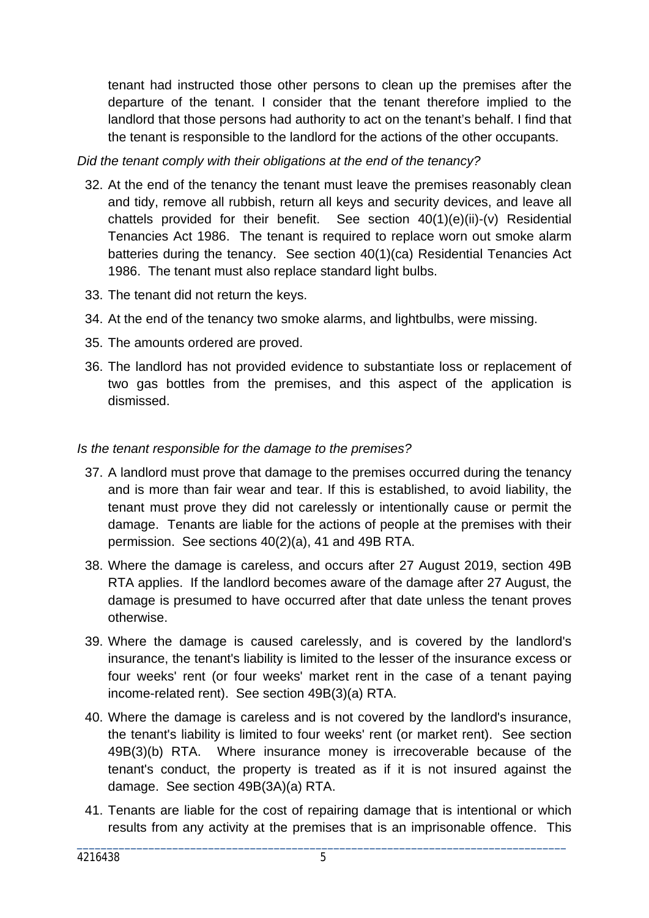tenant had instructed those other persons to clean up the premises after the departure of the tenant. I consider that the tenant therefore implied to the landlord that those persons had authority to act on the tenant's behalf. I find that the tenant is responsible to the landlord for the actions of the other occupants.

*Did the tenant comply with their obligations at the end of the tenancy?*

- 32. At the end of the tenancy the tenant must leave the premises reasonably clean and tidy, remove all rubbish, return all keys and security devices, and leave all chattels provided for their benefit. See section 40(1)(e)(ii)-(v) Residential Tenancies Act 1986. The tenant is required to replace worn out smoke alarm batteries during the tenancy. See section 40(1)(ca) Residential Tenancies Act 1986. The tenant must also replace standard light bulbs.
- 33. The tenant did not return the keys.
- 34. At the end of the tenancy two smoke alarms, and lightbulbs, were missing.
- 35. The amounts ordered are proved.
- 36. The landlord has not provided evidence to substantiate loss or replacement of two gas bottles from the premises, and this aspect of the application is dismissed.

## *Is the tenant responsible for the damage to the premises?*

- 37. A landlord must prove that damage to the premises occurred during the tenancy and is more than fair wear and tear. If this is established, to avoid liability, the tenant must prove they did not carelessly or intentionally cause or permit the damage. Tenants are liable for the actions of people at the premises with their permission. See sections 40(2)(a), 41 and 49B RTA.
- 38. Where the damage is careless, and occurs after 27 August 2019, section 49B RTA applies. If the landlord becomes aware of the damage after 27 August, the damage is presumed to have occurred after that date unless the tenant proves otherwise.
- 39. Where the damage is caused carelessly, and is covered by the landlord's insurance, the tenant's liability is limited to the lesser of the insurance excess or four weeks' rent (or four weeks' market rent in the case of a tenant paying income-related rent). See section 49B(3)(a) RTA.
- 40. Where the damage is careless and is not covered by the landlord's insurance, the tenant's liability is limited to four weeks' rent (or market rent). See section 49B(3)(b) RTA. Where insurance money is irrecoverable because of the tenant's conduct, the property is treated as if it is not insured against the damage. See section 49B(3A)(a) RTA.
- 41. Tenants are liable for the cost of repairing damage that is intentional or which results from any activity at the premises that is an imprisonable offence. This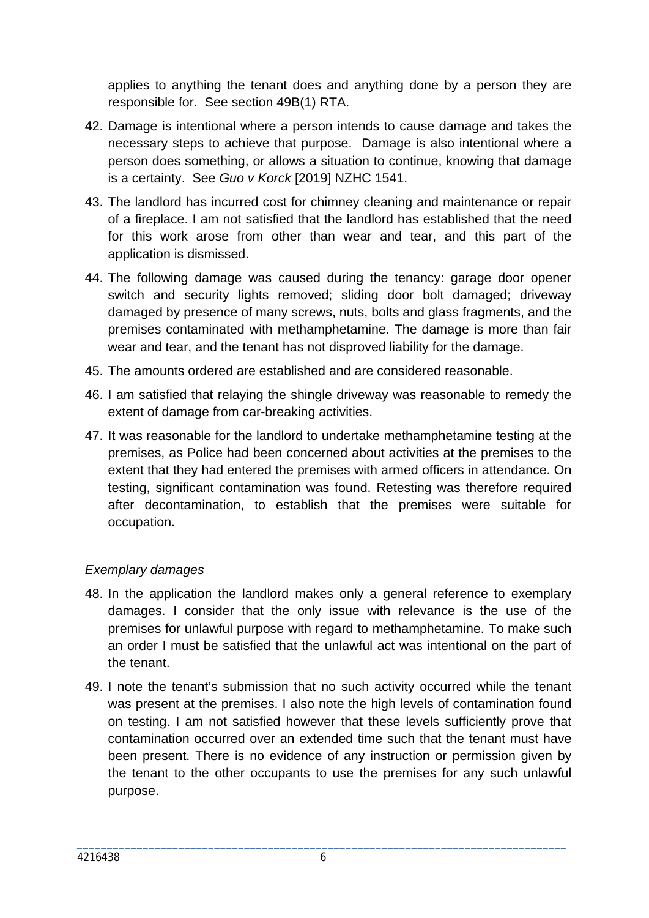applies to anything the tenant does and anything done by a person they are responsible for. See section 49B(1) RTA.

- 42. Damage is intentional where a person intends to cause damage and takes the necessary steps to achieve that purpose. Damage is also intentional where a person does something, or allows a situation to continue, knowing that damage is a certainty. See *Guo v Korck* [2019] NZHC 1541.
- 43. The landlord has incurred cost for chimney cleaning and maintenance or repair of a fireplace. I am not satisfied that the landlord has established that the need for this work arose from other than wear and tear, and this part of the application is dismissed.
- 44. The following damage was caused during the tenancy: garage door opener switch and security lights removed; sliding door bolt damaged; driveway damaged by presence of many screws, nuts, bolts and glass fragments, and the premises contaminated with methamphetamine. The damage is more than fair wear and tear, and the tenant has not disproved liability for the damage.
- 45. The amounts ordered are established and are considered reasonable.
- 46. I am satisfied that relaying the shingle driveway was reasonable to remedy the extent of damage from car-breaking activities.
- 47. It was reasonable for the landlord to undertake methamphetamine testing at the premises, as Police had been concerned about activities at the premises to the extent that they had entered the premises with armed officers in attendance. On testing, significant contamination was found. Retesting was therefore required after decontamination, to establish that the premises were suitable for occupation.

## *Exemplary damages*

- 48. In the application the landlord makes only a general reference to exemplary damages. I consider that the only issue with relevance is the use of the premises for unlawful purpose with regard to methamphetamine. To make such an order I must be satisfied that the unlawful act was intentional on the part of the tenant.
- 49. I note the tenant's submission that no such activity occurred while the tenant was present at the premises. I also note the high levels of contamination found on testing. I am not satisfied however that these levels sufficiently prove that contamination occurred over an extended time such that the tenant must have been present. There is no evidence of any instruction or permission given by the tenant to the other occupants to use the premises for any such unlawful purpose.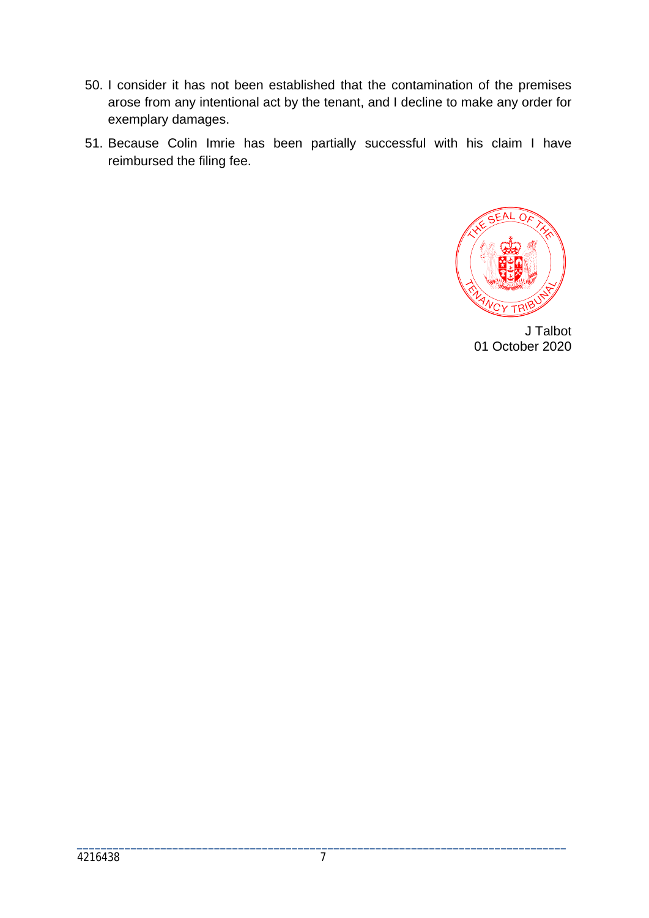- 50. I consider it has not been established that the contamination of the premises arose from any intentional act by the tenant, and I decline to make any order for exemplary damages.
- 51. Because Colin Imrie has been partially successful with his claim I have reimbursed the filing fee.



J Talbot 01 October 2020